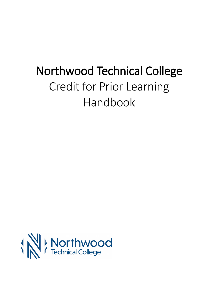# Northwood Technical College Credit for Prior Learning Handbook

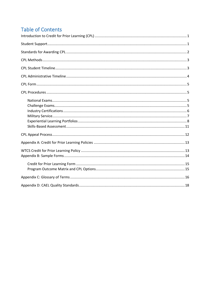# **Table of Contents**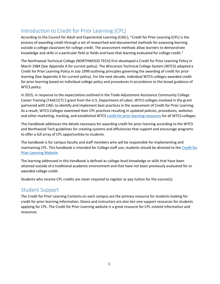# Introduction to Credit for Prior Learning (CPL)

According to the Council for Adult and Experiential Learning (CAEL), "Credit for Prior Learning (CPL) is the process of awarding credit through a set of researched and documented methods for assessing learning outside a college classroom for college credit. The assessment methods allow learners to demonstrate knowledge and skills in a particular field or fields and have that learning evaluated for college credit."

The Northwood Technical College (NORTHWOOD TECH) first developed a Credit for Prior Learning Policy in March 1984 (See Appendix A for current policy). The Wisconsin Technical College System (WTCS) adopted a Credit for Prior Learning Policy in July 1999 outlining principles governing the awarding of credit for prior learning (See Appendix A for current policy). For the next decade, individual WTCS colleges awarded credit for prior learning based on individual college policy and procedures in accordance to the broad guidance of WTCS policy.

In 2015, in response to the expectations outlined in the Trade Adjustment Assistance Community College Career Training (TAACCCT) 2 grant from the U.S. Department of Labor, WTCS colleges involved in the grant partnered with CAEL to identify and implement best practices in the assessment of Credit for Prior Learning. As a result, WTCS Colleges examined their CPL practices resulting in updated policies, procedures, websites and other marketing, tracking, and established WTCS [credit for prior learning resources](http://mywtcs.wtcsystem.edu/instructional-services/instructional-services-resources/credit-for-prior-learning) for all WTCS colleges.

This handbook addresses the details necessary for awarding credit for prior learning according to the WTCS and Northwood Tech guidelines for creating systems and efficiencies that support and encourage programs to offer a full array of CPL opportunities to students.

The handbook is for campus faculty and staff members who will be responsible for implementing and maintaining CPL. This handbook is intended for College staff use; students should be directed to the [Credit for](https://www.witc.edu/admissions/preparing-for-college/credit-for-prior-learning/credit-for-work-or-life-experiences)  [Prior Learning Website.](https://www.witc.edu/admissions/preparing-for-college/credit-for-prior-learning/credit-for-work-or-life-experiences)

The learning addressed in this handbook is defined as college-level knowledge or skills that have been attained outside of a traditional academic environment and that have not been previously evaluated for or awarded college credit.

Students who receive CPL credits are never required to register or pay tuition for the course(s).

### Student Support

The Credit for Prior Learning Contacts on each campus are the primary resource for students looking for credit for prior learning information. Deans and instructors are also tier-one support resources for students applying for CPL. The Credit for Prior Learning website is a great resource for CPL-related information and resources.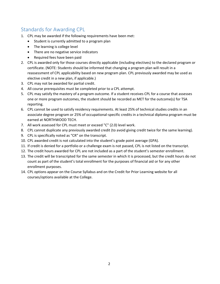# Standards for Awarding CPL

- 1. CPL may be awarded if the following requirements have been met:
	- Student is currently admitted to a program plan
	- The learning is college level
	- There are no negative service indicators
	- Required fees have been paid
- 2. CPL is awarded only for those courses directly applicable (including electives) to the declared program or certificate. (NOTE: Students should be informed that changing a program plan will result in a reassessment of CPL applicability based on new program plan. CPL previously awarded may be used as elective credit in a new plan, if applicable.)
- 3. CPL may not be awarded for partial credit.
- 4. All course prerequisites must be completed prior to a CPL attempt.
- 5. CPL may satisfy the mastery of a program outcome. If a student receives CPL for a course that assesses one or more program outcomes, the student should be recorded as MET for the outcome(s) for TSA reporting.
- 6. CPL cannot be used to satisfy residency requirements. At least 25% of technical studies credits in an associate degree program or 25% of occupational-specific credits in a technical diploma program must be earned at NORTHWOOD TECH.
- 7. All work assessed for CPL must meet or exceed "C" (2.0) level work.
- 8. CPL cannot duplicate any previously awarded credit (to avoid giving credit twice for the same learning).
- 9. CPL is specifically noted as "CR" on the transcript.
- 10. CPL awarded credit is not calculated into the student's grade point average (GPA).
- 11. If credit is denied for a portfolio or a challenge exam is not passed, CPL is not listed on the transcript.
- 12. The credit hours awarded for CPL are not included as a part of the student's semester enrollment.
- 13. The credit will be transcripted for the same semester in which it is processed, but the credit hours do not count as part of the student's total enrollment for the purposes of financial aid or for any other enrollment purposes.
- 14. CPL options appear on the Course Syllabus and on the Credit for Prior Learning website for all courses/options available at the College.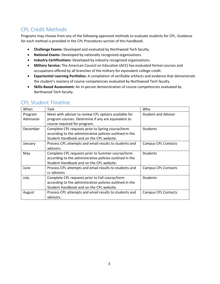# CPL Credit Methods

Programs may choose from any of the following approved methods to evaluate students for CPL. Guidance for each method is provided in the CPL Procedures section of this handbook.

- **Challenge Exams:** Developed and evaluated by Northwood Tech faculty.
- **National Exams:** Developed by nationally recognized organizations.
- **Industry Certifications:** Developed by industry-recognized organizations.
- **Military Service:** The American Council on Education (ACE) has evaluated formal courses and occupations offered by all branches of the military for equivalent college credit.
- **Experiential Learning Portfolios:** A compilation of verifiable artifacts and evidence that demonstrate the student's mastery of course competencies evaluated by Northwood Tech faculty.
- **Skills-Based Assessment:** An in-person demonstration of course competencies evaluated by Northwood Tech faculty.

| When      | Task                                                     | Who                        |
|-----------|----------------------------------------------------------|----------------------------|
| Program   | Meet with advisor to review CPL options available for    | <b>Student and Advisor</b> |
| Admission | program courses. Determine if any are equivalent to      |                            |
|           | course required for program.                             |                            |
| December  | Complete CPL requests prior to Spring course/term        | <b>Students</b>            |
|           | according to the administrative policies outlined in the |                            |
|           | Student Handbook and on the CPL website.                 |                            |
| January   | Process CPL attempts and email results to students and   | <b>Campus CPL Contacts</b> |
|           | advisors.                                                |                            |
| May       | Complete CPL requests prior to Summer course/term        | <b>Students</b>            |
|           | according to the administrative policies outlined in the |                            |
|           | Student Handbook and on the CPL website.                 |                            |
| June      | Process CPL attempts and email results to students and   | <b>Campus CPL Contacts</b> |
|           | cc advisors.                                             |                            |
| July      | Complete CPL requests prior to Fall course/term          | Students                   |
|           | according to the administrative policies outlined in the |                            |
|           | Student Handbook and on the CPL website.                 |                            |
| August    | Process CPL attempts and email results to students and   | <b>Campus CPL Contacts</b> |
|           | advisors.                                                |                            |

# CPL Student Timeline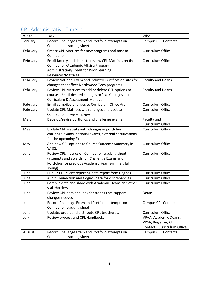# CPL Administrative Timeline

| When     | <b>Task</b>                                               | Who                         |
|----------|-----------------------------------------------------------|-----------------------------|
| January  | Record Challenge Exam and Portfolio attempts on           | <b>Campus CPL Contacts</b>  |
|          | Connection tracking sheet.                                |                             |
| February | Create CPL Matrices for new programs and post to          | Curriculum Office           |
|          | Connection.                                               |                             |
| February | Email faculty and deans to review CPL Matrices on the     | Curriculum Office           |
|          | Connection/Academic Affairs/Program                       |                             |
|          | Administration/Credit for Prior Learning                  |                             |
|          | Resources/Matrices.                                       |                             |
| February | Review National Exam and Industry Certification sites for | <b>Faculty and Deans</b>    |
|          | changes that affect Northwood Tech programs.              |                             |
| February | Review CPL Matrices to add or delete CPL options to       | <b>Faculty and Deans</b>    |
|          | courses. Email desired changes or "No Changes" to         |                             |
|          | Curriculum & Assessment Manager.                          |                             |
| February | Email compiled changes to Curriculum Office Asst.         | <b>Curriculum Office</b>    |
| February | Update CPL Matrices with changes and post to              | Curriculum Office           |
|          | Connection program pages.                                 |                             |
| March    | Develop/revise portfolios and challenge exams.            | Faculty and                 |
|          |                                                           | <b>Curriculum Office</b>    |
| May      | Update CPL website with changes in portfolios,            | Curriculum Office           |
|          | challenge exams, national exams, external certifications  |                             |
|          | for the upcoming FY.                                      |                             |
| May      | Add new CPL options to Course Outcome Summary in          | <b>Curriculum Office</b>    |
|          | WIDS.                                                     |                             |
| June     | Review CPL metrics on Connection tracking sheet           | Curriculum Office           |
|          | (attempts and awards) on Challenge Exams and              |                             |
|          | Portfolios for previous Academic Year (summer, fall,      |                             |
|          | spring).                                                  |                             |
| June     | Run FY CPL client reporting data report from Cognos.      | Curriculum Office           |
| June     | Audit Connection and Cognos data for discrepancies.       | Curriculum Office           |
| June     | Compile data and share with Academic Deans and other      | Curriculum Office           |
|          | stakeholders.                                             |                             |
| June     | Review CPL data and look for trends that support          | <b>Deans</b>                |
|          | changes needed.                                           |                             |
| June     | Record Challenge Exam and Portfolio attempts on           | <b>Campus CPL Contacts</b>  |
|          | Connection tracking sheet.                                |                             |
| June     | Update, order, and distribute CPL brochures.              | Curriculum Office           |
| July     | Review process and CPL Handbook.                          | VPAA, Academic Deans,       |
|          |                                                           | VPSA, Registrar, CPL        |
|          |                                                           | Contacts, Curriculum Office |
| August   | Record Challenge Exam and Portfolio attempts on           | <b>Campus CPL Contacts</b>  |
|          | Connection tracking sheet.                                |                             |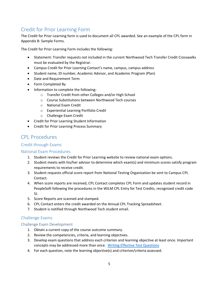# Credit for Prior Learning Form

The Credit for Prior Learning form is used to document all CPL awarded. See an example of the CPL form in Appendix B: Sample Forms.

The Credit for Prior Learning Form includes the following:

- Statement: Transfer requests not included in the current Northwood Tech Transfer Credit Crosswalks must be evaluated by the Registrar.
- Campus Credit for Prior Learning Contact's name, campus, campus address
- Student name, ID number, Academic Advisor, and Academic Program (Plan)
- Date and Requirement Term
- Form Completed By
- Information to complete the following:
	- o Transfer Credit from other Colleges and/or High School
	- o Course Substitutions between Northwood Tech courses
	- o National Exam Credit
	- o Experiential Learning Portfolio Credit
	- o Challenge Exam Credit
- Credit for Prior Learning Student Information
- Credit for Prior Learning Process Summary

# CPL Procedures

#### Credit through Exams

#### National Exam Procedures

- 1. Student reviews the Credit for Prior Learning website to review national exam options.
- 2. Student meets with his/her advisor to determine which exam(s) and minimum scores satisfy program requirements to receive credit.
- 3. Student requests official score report from National Testing Organization be sent to Campus CPL Contact.
- 4. When score reports are received, CPL Contact completes CPL Form and updates student record in PeopleSoft following the procedures in the WILM CPL Entry for Test Credits, recognized credit code 5J.
- 5. Score Reports are scanned and stamped.
- 6. CPL Contact enters the credit awarded on the Annual CPL Tracking Spreadsheet.
- 7. Student is notified through Northwood Tech student email.

#### Challenge Exams

#### Challenge Exam Development

- 1. Obtain a current copy of the course outcome summary.
- 2. Review the competencies, criteria, and learning objectives.
- 3. Develop exam questions that address each criterion and learning objective at least once. Important concepts may be addressed more than once. [Writing Effective Test Questions](https://witc.wids.org/PublicDocuments.axd?DocumentID=f3300039-9e2c-428a-821f-fb9b1dee0d1b)
- 4. For each question, note the learning objective(s) and criterion/criteria assessed.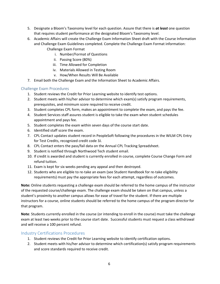- 5. Designate a Bloom's Taxonomy level for each question. Assure that there is *at least* one question that requires student performance at the designated Bloom's Taxonomy level.
- 6. Academic Affairs will create the Challenge Exam Information Sheet draft with the Course Information and Challenge Exam Guidelines completed. Complete the Challenge Exam Format information: Challenge Exam Format
	- i. Number/Format of Questions
	- ii. Passing Score (80%)
	- iii. Time Allowed for Completion
	- iv. Materials Allowed in Testing Room
	- v. How/When Results Will Be Available
- 7. Email both the Challenge Exam and the Information Sheet to Academic Affairs.

#### Challenge Exam Procedures

- 1. Student reviews the Credit for Prior Learning website to identify test options.
- 2. Student meets with his/her advisor to determine which exam(s) satisfy program requirements, prerequisites, and minimum score required to receive credit.
- 3. Student completes CPL form, makes an appointment to complete the exam, and pays the fee.
- 4. Student Services staff assures student is eligible to take the exam when student schedules appointment and pays fee.
- 5. Student completes the exam within seven days of the course start date.
- 6. Identified staff score the exam.
- 7. CPL Contact updates student record in PeopleSoft following the procedures in the WILM CPL Entry for Test Credits, recognized credit code 3J.
- 8. CPL Contact enters the pass/fail data on the Annual CPL Tracking Spreadsheet.
- 9. Student is notified through Northwood Tech student email.
- 10. If credit is awarded and student is currently enrolled in course, complete Course Change Form and refund tuition.
- 11. Exam is kept for six weeks pending any appeal and then destroyed.
- 12. Students who are eligible to re-take an exam (see Student Handbook for re-take eligibility requirements) must pay the appropriate fees for each attempt, regardless of outcomes.

**Note:** Online students requesting a challenge exam should be referred to the home campus of the instructor of the requested course/challenge exam. The challenge exam should be taken on that campus, unless a student's proximity to another campus allows for ease of travel for the student. If there are multiple instructors for a course, online students should be referred to the home campus of the program director for that program.

**Note**: Students currently enrolled in the course (or intending to enroll in the course) must take the challenge exam at least two weeks prior to the course start date. Successful students must request a class withdrawal and will receive a 100 percent refund.

#### Industry Certifications Procedures

- 1. Student reviews the Credit for Prior Learning website to identify certification options.
- 2. Student meets with his/her advisor to determine which certification(s) satisfy program requirements and score standards required to receive credit.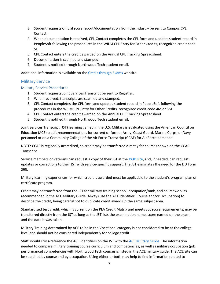- 3. Student requests official score report/documentation from the Industry be sent to Campus CPL Contact.
- 4. When documentation is received, CPL Contact completes the CPL form and updates student record in PeopleSoft following the procedures in the WILM CPL Entry for Other Credits, recognized credit code 5J.
- 5. CPL Contact enters the credit awarded on the Annual CPL Tracking Spreadsheet.
- 6. Documentation is scanned and stamped.
- 7. Student is notified through Northwood Tech student email.

Additional information is available on the [Credit through Exams](https://www.witc.edu/admissions/preparing-for-college/credit-for-prior-learning/credit-through-examshttps:/www.witc.edu/admissions/preparing-for-college/credit-for-prior-learning/credit-through-exams) website.

#### Military Service

#### Military Service Procedures

- 1. Student requests Joint Services Transcript be sent to Registrar.
- 2. When received, transcripts are scanned and stamped.
- 3. CPL Contact completes the CPL form and updates student record in PeopleSoft following the procedures in the WILM CPL Entry for Other Credits, recognized credit code 4M or 5M.
- 4. CPL Contact enters the credit awarded on the Annual CPL Tracking Spreadsheet.
- 5. Student is notified through Northwood Tech student email.

Joint Services Transcript (JST) learning gained in the U.S. Military is evaluated using the American Council on Education (ACE) credit recommendations for current or former Army, Coast Guard, Marine Corps, or Navy personnel or on a Community College of the Air Force Transcript (CCAF) for Air Force personnel.

NOTE: CCAF is regionally accredited, so credit may be transferred directly for courses shown on the CCAF Transcript.

Service members or veterans can request a copy of their JST at the **DOD** site, and, if needed, can request updates or corrections to their JST with service-specific support. The JST eliminates the need for the DD Form 295.

Military learning experiences for which credit is awarded must be applicable to the student's program plan or certificate program.

Credit may be transferred from the JST for military training school, occupation/rank, and coursework as recommended in the ACE Military Guide. Always use the ACE Identifier (Course and/or Occupation) to describe the credit, being careful not to duplicate credit awards in the same subject area.

Standardized test credit, which is current on the PLA Credit Matrix and meets cut score requirements, may be transferred directly from the JST as long as the JST lists the examination name, score earned on the exam, and the date it was taken.

Military Training determined by ACE to be in the Vocational category is not considered to be at the college level and should not be considered independently for college credit.

Staff should cross-reference the ACE Identifiers on the JST with the [ACE Military Guide.](http://www.acenet.edu/news-room/Pages/Military-Guide-Online.aspx) The information needed to compare military training course curriculum and competencies, as well as military occupation (job performance) competencies with Northwood Tech courses is listed in the ACE military guide. The ACE site can be searched by course and by occupation. Using either or both may help to find information related to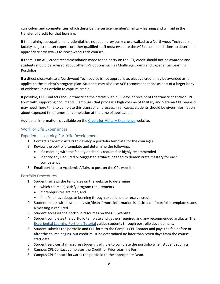curriculum and competencies which describe the service member's military learning and will aid in the transfer of credit for that learning.

If the training, occupation or credential has not been previously cross-walked to a Northwood Tech course, faculty subject matter experts or other qualified staff must evaluate the ACE recommendations to determine appropriate crosswalks to Northwood Tech courses.

If there is no ACE credit recommendation made for an entry on the JST, credit should not be awarded and students should be advised about other CPL options such as Challenge Exams and Experiential Learning Portfolios.

If a direct crosswalk to a Northwood Tech course is not appropriate, elective credit may be awarded as it applies to the student's program plan. Students may also use ACE recommendations as part of a larger body of evidence in a Portfolio to capture credit.

If possible, CPL Contacts should transcribe the credits within 30 days of receipt of the transcript and/or CPL Form with supporting documents. Campuses that process a high volume of Military and Veteran CPL requests may need more time to complete this transaction process. In all cases, students should be given information about expected timeframes for completion at the time of application.

Additional information is available on the [Credit for Military Experience](https://www.witc.edu/admissions/preparing-for-college/credit-for-prior-learning/credit-for-military-experience) website.

#### Work or Life Experiences

#### Experiential Learning Portfolio Development

- 1. Contact Academic Affairs to develop a portfolio template for the course(s).
- 2. Review the portfolio template and determine the following:
	- if a meeting with the faculty or dean is required or highly recommended
	- Identify any Required or Suggested artifacts needed to demonstrate mastery for each competency
- 3. Email portfolio to Academic Affairs to post on the CPL website.

#### Portfolio Procedures

- 1. Student reviews the templates on the website to determine
	- which course(s) satisfy program requirements
	- if prerequisites are met, and
	- if he/she has adequate learning through experience to receive credit
- 2. Student meets with his/her advisor/dean if more information is desired or if portfolio template states a meeting is required.
- 3. Student accesses the portfolio resources on the CPL website.
- 4. Student completes the portfolio template and gathers required and any recommended artifacts. The [Experiential Learning Portfolio Tutorial](https://www.witc.edu/sites/default/files/inline-files/Experiential%20Learning%20Portfolio%20Tutorial_0.pdf) guides students through portfolio development.
- 5. Student submits the portfolio and CPL form to the Campus CPL Contact and pays the fee before or after the course begins, but credit must be determined no later than seven days from the course start date.
- 6. Student Services staff assures student is eligible to complete the portfolio when student submits.
- 7. Campus CPL Contact completes the Credit for Prior Learning Form.
- 8. Campus CPL Contact forwards the portfolio to the appropriate Dean.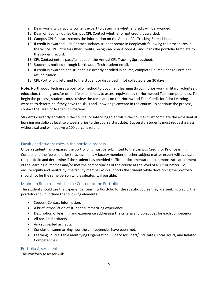- 9. Dean works with faculty content expert to determine whether credit will be awarded.
- 10. Dean or faculty notifies Campus CPL Contact whether or not credit is awarded.
- 11. Campus CPL Contact records the information on the Annual CPL Tracking Spreadsheet.
- 12. If credit is awarded, CPL Contact updates student record in PeopleSoft following the procedures in the WILM CPL Entry for Other Credits, recognized credit code 4J, and scans the portfolio template to the student record.
- 13. CPL Contact enters pass/fail data on the Annual CPL Tracking Spreadsheet.
- 14. Student is notified through Northwood Tech student email.
- 15. If credit is awarded and student is currently enrolled in course, complete Course Change Form and refund tuition.
- 16. CPL Portfolio is returned to the student or discarded if not collected after 30 days.

**Note**: Northwood Tech uses a portfolio method to document learning through prior work, military, volunteer, education, training, and/or other life experiences to assess equivalency to Northwood Tech competencies. To begin the process, students must review the templates on the Northwood Tech Credit for Prior Learning website to determine if they have the skills and knowledge covered in the course. To continue the process, contact the Dean of Academic Programs.

Students currently enrolled in the course (or intending to enroll in the course) must complete the experiential learning portfolio at least two weeks prior to the course start date. Successful students must request a class withdrawal and will receive a 100 percent refund.

#### Faculty and student roles in the portfolio process

Once a student has prepared the portfolio, it must be submitted to the campus Credit for Prior Learning Contact and the fee paid prior to assessment. A faculty member or other subject matter expert will evaluate the portfolio and determine if the student has provided sufficient documentation to demonstrate attainment of the learning outcomes and/or met the competencies of the course at the level of a "C" or better. To ensure equity and neutrality, the faculty member who supports the student while developing the portfolio should not be the same person who evaluates it, if possible.

#### Minimum Requirements for the Content of the Portfolio

The student should use the Experiential Learning Portfolio for the specific course they are seeking credit. The portfolio should include the following elements:

- Student Contact Information.
- A brief introduction of student summarizing experience.
- Description of learning and experience addressing the criteria and objectives for each competency.
- All required artifacts.
- Any suggested artifacts.
- Conclusion summarizing how the competencies have been met.
- Learning Source Table identifying Organization, Supervisor, Start/End Dates, Total Hours, and Related Competencies.

#### Portfolio Assessment

The Portfolio Assessor will: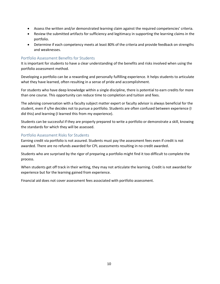- Assess the written and/or demonstrated learning claim against the required competencies' criteria.
- Review the submitted artifacts for sufficiency and legitimacy in supporting the learning claims in the portfolio.
- Determine if each competency meets at least 80% of the criteria and provide feedback on strengths and weaknesses.

#### Portfolio Assessment Benefits for Students

It is important for students to have a clear understanding of the benefits and risks involved when using the portfolio assessment method.

Developing a portfolio can be a rewarding and personally fulfilling experience. It helps students to articulate what they have learned, often resulting in a sense of pride and accomplishment.

For students who have deep knowledge within a single discipline, there is potential to earn credits for more than one course. This opportunity can reduce time to completion and tuition and fees.

The advising conversation with a faculty subject matter expert or faculty advisor is always beneficial for the student, even if s/he decides not to pursue a portfolio. Students are often confused between experience (I did this) and learning (I learned this from my experience).

Students can be successful if they are properly prepared to write a portfolio or demonstrate a skill, knowing the standards for which they will be assessed.

#### Portfolio Assessment Risks for Students

Earning credit via portfolio is not assured. Students must pay the assessment fees even if credit is not awarded. There are no refunds awarded for CPL assessments resulting in no credit awarded.

Students who are surprised by the rigor of preparing a portfolio might find it too difficult to complete the process.

When students get off track in their writing, they may not articulate the learning. Credit is not awarded for experience but for the learning gained from experience.

Financial aid does not cover assessment fees associated with portfolio assessment.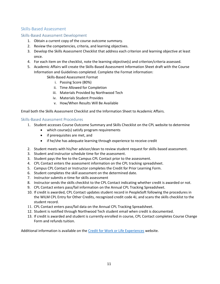#### Skills-Based Assessment

#### Skills-Based Assessment Development

- 1. Obtain a current copy of the course outcome summary.
- 2. Review the competencies, criteria, and learning objectives.
- 3. Develop the Skills Assessment Checklist that address each criterion and learning objective at least once.
- 4. For each item on the checklist, note the learning objective(s) and criterion/criteria assessed.
- 5. Academic Affairs will create the Skills-Based Assessment Information Sheet draft with the Course Information and Guidelines completed. Complete the Format information:
	- Skills-Based Assessment Format
		- i. Passing Score (80%)
		- ii. Time Allowed for Completion
		- iii. Materials Provided by Northwood Tech
		- iv. Materials Student Provides
		- v. How/When Results Will Be Available

Email both the Skills Assessment Checklist and the Information Sheet to Academic Affairs.

#### Skills-Based Assessment Procedures

- 1. Student accesses Course Outcome Summary and Skills Checklist on the CPL website to determine
	- which course(s) satisfy program requirements
	- if prerequisites are met, and
	- if he/she has adequate learning through experience to receive credit
- 2. Student meets with his/her advisor/dean to review student request for skills-based assessment.
- 3. Student and instructor schedule time for the assessment.
- 3. Student pays the fee to the Campus CPL Contact prior to the assessment.
- 4. CPL Contact enters the assessment information on the CPL tracking spreadsheet.
- 5. Campus CPL Contact or Instructor completes the Credit for Prior Learning Form.
- 6. Student completes the skill assessment on the determined date.
- 7. Instructor submits e-time for skills assessment
- 8. Instructor sends the skills checklist to the CPL Contact indicating whether credit is awarded or not.
- 9. CPL Contact enters pass/fail information on the Annual CPL Tracking Spreadsheet.
- 10. If credit is awarded, CPL Contact updates student record in PeopleSoft following the procedures in the WILM CPL Entry for Other Credits, recognized credit code 4J, and scans the skills checklist to the student record.
- 11. CPL Contact enters pass/fail data on the Annual CPL Tracking Spreadsheet.
- 12. Student is notified through Northwood Tech student email when credit is documented.
- 13. If credit is awarded and student is currently enrolled in course, CPL Contact completes Course Change Form and refunds tuition.

Additional information is available on the [Credit for Work or Life Experiences](https://www.witc.edu/admissions/preparing-for-college/credit-for-prior-learning/credit-for-work-or-life-experiences) website.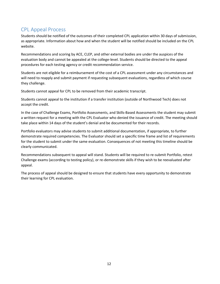# CPL Appeal Process

Students should be notified of the outcomes of their completed CPL application within 30 days of submission, as appropriate. Information about how and when the student will be notified should be included on the CPL website.

Recommendations and scoring by ACE, CLEP, and other external bodies are under the auspices of the evaluation body and cannot be appealed at the college-level. Students should be directed to the appeal procedures for each testing agency or credit recommendation service.

Students are not eligible for a reimbursement of the cost of a CPL assessment under any circumstances and will need to reapply and submit payment if requesting subsequent evaluations, regardless of which course they challenge.

Students cannot appeal for CPL to be removed from their academic transcript.

Students cannot appeal to the institution if a transfer institution (outside of Northwood Tech) does not accept the credit.

In the case of Challenge Exams, Portfolio Assessments, and Skills-Based Assessments the student may submit a written request for a meeting with the CPL Evaluator who denied the issuance of credit. The meeting should take place within 14 days of the student's denial and be documented for their records.

Portfolio evaluators may advise students to submit additional documentation, if appropriate, to further demonstrate required competencies. The Evaluator should set a specific time frame and list of requirements for the student to submit under the same evaluation. Consequences of not meeting this timeline should be clearly communicated.

Recommendations subsequent to appeal will stand. Students will be required to re-submit Portfolio, retest Challenge exams (according to testing policy), or re-demonstrate skills if they wish to be reevaluated after appeal.

The process of appeal should be designed to ensure that students have every opportunity to demonstrate their learning for CPL evaluation.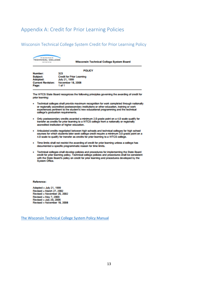## Appendix A: Credit for Prior Learning Policies

#### Wisconsin Technical College System Credit for Prior Learning Policy

| <b>WISCONSIN</b><br>TECHNICAL COLLEGE<br><b>BYRTEM</b> | Wisconsin Technical College System Board |
|--------------------------------------------------------|------------------------------------------|
|                                                        | <b>POLICY</b>                            |
| Number:                                                | 323                                      |
| Subject:                                               | <b>Credit for Prior Learning</b>         |
| Adopted:                                               | July 21, 1999                            |
| <b>Current Revision:</b>                               | November 18, 2008                        |
| Page:                                                  | 1 of 1                                   |

The WTCS State Board recognizes the following principles governing the awarding of credit for prior learning:

- . Technical colleges shall provide maximum recognition for work completed through nationally or regionally accredited postsecondary institutions or other education, training or work experiences pertinent to the student's new educational programming and the technical college's graduation requirements.
- . Only postsecondary credits awarded a minimum 2.0 grade point on a 4.0 scale qualify for transfer as credits for prior learning to a WTCS college from a nationally or regionally accredited institution of higher education.
- + Articulated credits negotiated between high schools and technical colleges for high school courses for which students later seek college credit require a minimum 3.0 grade point on a 4.0 scale to qualify for transfer as credits for prior learning to a WTCS college.
- . Time limits shall not restrict the awarding of credit for prior learning unless a college has documented a specific programmatic reason for time limits.
- . Technical colleges shall develop policies and procedures for implementing the State Board credit for prior learning policy. Technical college policies and procedures shall be consistent with the State Board's policy on credit for prior learning and procedures developed by the System Office.

#### Reference:

Adopted - July 21, 1999 Revised - March 27, 2002 Revised - November 20, 2002 Revised - May 7, 2003 Revised - July 20, 2005 Revised - November 18, 2008

[The Wisconsin Technical College System Policy Manual](http://www.wtcsystem.edu/wtcsexternal/cmspages/getdocumentfile.aspx?nodeguid=ac9ecfed-1e65-4d4e-acb6-dbd77b9ca088)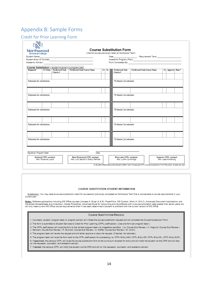# Appendix B: Sample Forms

#### Credit for Prior Learning Form

| <b>Technical College</b><br>Student Name:                  |                                                                    | the contract of the contract of the contract of                                                                      |         |                             |                                                                                                                                                                                                                                |                              |  |
|------------------------------------------------------------|--------------------------------------------------------------------|----------------------------------------------------------------------------------------------------------------------|---------|-----------------------------|--------------------------------------------------------------------------------------------------------------------------------------------------------------------------------------------------------------------------------|------------------------------|--|
| Student Empl ID Number:                                    |                                                                    | <u> 1989 - Johann Stein, marwolaethau a bhann an t-Amhain an t-Amhain an t-Amhain an t-Amhain an t-Amhain an t-A</u> |         |                             | Academic Program (Plan): enterprise and according to the contract of the contract of the contract of the contract of the contract of the contract of the contract of the contract of the contract of the contract of the contr |                              |  |
| Academic Advisor:                                          |                                                                    |                                                                                                                      |         |                             |                                                                                                                                                                                                                                |                              |  |
|                                                            |                                                                    |                                                                                                                      |         |                             |                                                                                                                                                                                                                                |                              |  |
| Requestor                                                  | Course Substitution - student must be in a program plan<br>Course# | <b>Yr/Term   Northwood Tech   Northwood Tech Course Name</b>                                                         | $Cr$ Gr | Northwood Tech<br>Course#   | <b>Northwood Tech Course Name</b>                                                                                                                                                                                              | Cr Approve Denv <sup>+</sup> |  |
|                                                            |                                                                    |                                                                                                                      |         |                             |                                                                                                                                                                                                                                |                              |  |
| Rationale for substitution:                                |                                                                    |                                                                                                                      |         | *If denied, list rationale: |                                                                                                                                                                                                                                |                              |  |
|                                                            |                                                                    |                                                                                                                      |         |                             |                                                                                                                                                                                                                                |                              |  |
| Rationale for substitution:                                |                                                                    |                                                                                                                      |         | *If denied, list rationale: |                                                                                                                                                                                                                                |                              |  |
|                                                            |                                                                    |                                                                                                                      |         |                             |                                                                                                                                                                                                                                |                              |  |
|                                                            |                                                                    |                                                                                                                      |         |                             |                                                                                                                                                                                                                                |                              |  |
| Rationale for substitution:                                |                                                                    |                                                                                                                      |         | *If denied, list rationale: |                                                                                                                                                                                                                                |                              |  |
|                                                            |                                                                    |                                                                                                                      |         |                             |                                                                                                                                                                                                                                |                              |  |
|                                                            |                                                                    |                                                                                                                      |         |                             |                                                                                                                                                                                                                                |                              |  |
|                                                            |                                                                    |                                                                                                                      |         | *If denied, list rationale: |                                                                                                                                                                                                                                |                              |  |
|                                                            |                                                                    |                                                                                                                      |         |                             |                                                                                                                                                                                                                                |                              |  |
|                                                            |                                                                    |                                                                                                                      |         |                             |                                                                                                                                                                                                                                |                              |  |
|                                                            |                                                                    |                                                                                                                      |         |                             |                                                                                                                                                                                                                                |                              |  |
| Rationale for substitution:<br>Rationale for substitution: |                                                                    |                                                                                                                      |         | *If denied, list rationale: |                                                                                                                                                                                                                                |                              |  |
|                                                            |                                                                    |                                                                                                                      |         |                             |                                                                                                                                                                                                                                |                              |  |
| Signature, Program Dean                                    |                                                                    | Date                                                                                                                 |         |                             |                                                                                                                                                                                                                                |                              |  |

#### COURSE SURSTITUTION STUDENT INFORMATION

Substitution: You may receive course substitution credit for coursework previously completed at Northwood Tech that is comparable to course requirements in your current plan

Notes: Software applications including MS Office courses ((Access A, Excel (A & B), PowerPoint, MS Outlook, Word (A, B & C), Advanced Document Applications, and<br>Advanced Spreadsheets and Analytics)), Adobe Photoshop, Advan

#### **COURSE SUBSTITUTION PROCESS**

1. Counselor, student, program dean or program advisor will initiate the course substitution request and will complete the Course Substitution Form.

- 2. The form is submitted to Student Services to Credit for Prior Learning (CFPL) staff person. (Use one form per program dean.)
- 3. The CFPL staff person will route the form to the correct program dean via ImageNow workflow. (i.e. Course Sub Review K. Hoglund; Course Sub Review -J. Germain; Course Sub Review - P. Brunclik; Course Sub Review - A. Moffat; Course Sub Review - M. Ulrich)
- 4. The program dean will review the request and will either approve or deny the request. (If denied, list rationale.)
- 5. The program dean will route the form back to the CFPL staff person for processing (i.e. CFPL Entry-ASH; CFPL Entry-NR; CFPL Entry-RL; CFPL Entry-SUP).

6. If approved, the campus CFPL will route the course substitution form to the curriculum reviewer for entry and will notify the student via the CRM and will also cc: the requestor, counselor, and academic advisor.

7. If denied, the campus CFPL will notify the student via the CRM and will co: the requestor, counselor, and academic advisor.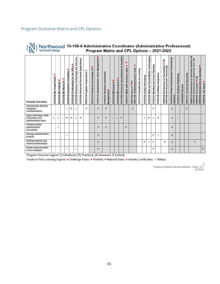#### Program Outcome Matrix and CPL Options

# Northwood 10-106-6 Administrative Coordinator (Administrative Professional)<br>Program Matrix and CPL Options – 2021-2022

| <b>Program Outcomes</b>                                            | ₩<br>10103106 MS PowerPoint. | 10103125 MS Outlook | ₩<br>₹<br>10103146 MS Word | 10106110 Document Formatting | Office<br>Proofreading for the<br>10106146 | 10106199 Business Technology and Success | Advanced Document Applications<br>10103184 | Composition 1<br>English (<br>10801136 | 14<br>Financial Accounting<br>10101176 | 10106139 Administrative Office Management                         | 10106165 Business Information<br>Management. | #<br>$\blacktriangleleft$<br>Excel<br>10103151 MS | 10103162 MS Access A $\sharp$ | Analytics<br>œ<br>Spreadsheets<br>Advanced<br>10103185 | Apps<br>10804123 Math with Business | Oral/Interpersonal Comm.<br>$-0R$<br>Speech<br>10801196<br>10801198 | QuickBooks Accounting<br>10101174 | Adobe Photoshop<br>10103156 | Social Media Technologies<br>10106129 Web and | 10106123 Meeting and Event Planning | Software Integration<br>10106128 | œ<br>10809198 Introduction to Psychology<br>10809188 Developmental Psychology<br>Psychology | Professional<br>10106166 Virtual Administrative<br>Capstone | 10106127 Desktop Publishing | 10XXXXXX Elective | 10801197 Technical Reporting | œ<br>Introduction to American Gov. OR<br>Studies<br>10809196 Introduction to Sociology "<br>Introduction to Diversity<br><b>OR</b><br>Economics<br>10809195<br>10809172 | 10890116 Job Quest • |
|--------------------------------------------------------------------|------------------------------|---------------------|----------------------------|------------------------------|--------------------------------------------|------------------------------------------|--------------------------------------------|----------------------------------------|----------------------------------------|-------------------------------------------------------------------|----------------------------------------------|---------------------------------------------------|-------------------------------|--------------------------------------------------------|-------------------------------------|---------------------------------------------------------------------|-----------------------------------|-----------------------------|-----------------------------------------------|-------------------------------------|----------------------------------|---------------------------------------------------------------------------------------------|-------------------------------------------------------------|-----------------------------|-------------------|------------------------------|-------------------------------------------------------------------------------------------------------------------------------------------------------------------------|----------------------|
| Demonstrate effective<br>workplace<br>communications               |                              |                     |                            |                              | P                                          | ×.                                       |                                            | P                                      |                                        | P                                                                 | P                                            |                                                   |                               |                                                        |                                     | P                                                                   |                                   |                             |                                               | P                                   |                                  |                                                                                             | A                                                           |                             |                   | P                            |                                                                                                                                                                         |                      |
| Apply technology skills<br>to business and<br>administrative tasks |                              |                     |                            | P                            | P                                          |                                          | P                                          |                                        |                                        | P                                                                 | P                                            |                                                   |                               | P                                                      |                                     |                                                                     |                                   |                             | P                                             |                                     | P                                |                                                                                             | Α                                                           |                             |                   |                              |                                                                                                                                                                         |                      |
| Perform routine<br>administrative<br>procedures                    |                              |                     |                            |                              |                                            |                                          |                                            |                                        |                                        | P                                                                 | P                                            |                                                   |                               |                                                        | P                                   |                                                                     |                                   |                             |                                               |                                     |                                  |                                                                                             | Α                                                           |                             |                   |                              |                                                                                                                                                                         |                      |
| Manage administrative<br>projects                                  |                              |                     |                            |                              |                                            |                                          |                                            |                                        |                                        | P                                                                 |                                              |                                                   |                               |                                                        |                                     |                                                                     |                                   |                             |                                               | P                                   |                                  |                                                                                             | Α                                                           |                             |                   |                              |                                                                                                                                                                         |                      |
| Maintain internal and<br>external relationships                    |                              |                     |                            |                              |                                            |                                          |                                            |                                        |                                        | P                                                                 |                                              |                                                   |                               |                                                        |                                     |                                                                     |                                   | P                           |                                               | P                                   |                                  | P                                                                                           | Α                                                           |                             |                   |                              | P                                                                                                                                                                       |                      |
| Model professionalism<br>in the workplace<br>$\mathbf{D}$          |                              |                     |                            |                              |                                            |                                          |                                            |                                        |                                        | P<br>a the concepts (IN technologically CDN December of LCAN Area |                                              |                                                   |                               | $- - 1$ M $(1 - 1) - 1$                                |                                     |                                                                     |                                   |                             |                                               | P                                   |                                  |                                                                                             | Α                                                           |                             |                   |                              |                                                                                                                                                                         | $\mathsf{P}$         |

Program Outcome Legend: (I) Introduced, (P) Practiced, (A) Assessed, X (Linked)

Credit for Prior Learning Legend: • Challenge Exam, • Portfolio, ■ National Exam, # Industry Certification, Vilitary

Program Assigned Outcome Matrices - Page 1 of 1<br>2/7/2022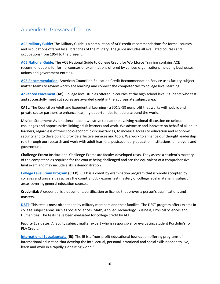# Appendix C: Glossary of Terms

**[ACE Military Guide:](http://www.acenet.edu/news-room/Pages/Military-Guide-Online.aspx)** The Military Guide is a compilation of ACE credit recommendations for formal courses and occupations offered by all branches of the military. The guide includes all evaluated courses and occupations from 1954 to the present.

**[ACE National Guide:](http://www2.acenet.edu/credit/?fuseaction=browse.main)** The ACE National Guide to College Credit for Workforce Training contains ACE recommendations for formal courses or examinations offered by various organizations including businesses, unions and government entities.

**[ACE Recommendation:](http://www.acenet.edu/news-room/Pages/College-Credit-Recommendation-ServiceCREDIT.aspx)** American Council on Education Credit Recommendation Service uses faculty subject matter teams to review workplace learning and connect the competencies to college level learning.

**[Advanced Placement](https://apstudent.collegeboard.org/home) (AP):** College level studies offered in courses at the high school level. Students who test and successfully meet cut scores are awarded credit in the appropriate subject area.

**CAEL:** The Council on Adult and Experiential Learning - a 501(c)(3) nonprofit that works with public and private sector partners to enhance learning opportunities for adults around the world.

Mission Statement: As a national leader, we strive to lead the evolving national discussion on unique challenges and opportunities linking adult learners and work. We advocate and innovate on behalf of all adult learners, regardless of their socio-economic circumstances, to increase access to education and economic security and to develop and provide effective services and tools. We work to enhance our thought leadership role through our research and work with adult learners, postsecondary education institutions, employers and government.

**Challenge Exam:** Institutional Challenge Exams are faculty-developed tests. They assess a student's mastery of the competencies required for the course being challenged and are the equivalent of a comprehensive final exam and may include a skills demonstration.

**[College Level Exam Program](https://clep.collegeboard.org/) (CLEP):** CLEP is a credit by examination program that is widely accepted by colleges and universities across the country. CLEP exams test mastery of college level material in subject areas covering general education courses.

**Credential:** A credential is a document, certification or license that proves a person's qualifications and mastery.

**[DSST:](http://getcollegecredit.com/)** This test is most often taken by military members and their families. The DSST program offers exams in college subject areas such as Social Sciences, Math, Applied Technology, Business, Physical Sciences and Humanities. The tests have been evaluated for college credit by ACE.

**Faculty Evaluator:** A faculty subject matter expert who is responsible for evaluating student Portfolio's for PLA Credit.

**[International Baccalaureate](http://www.ibo.org/) (IB):** The IB is a "non-profit educational foundation offering programs of international education that develop the intellectual, personal, emotional and social skills needed to live, learn and work in a rapidly globalizing world."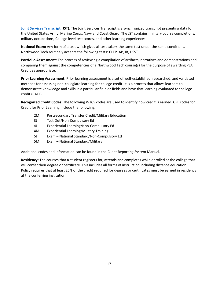**[Joint Services Transcript](http://www.acenet.edu/news-room/Documents/Joint-Services-Transcript-Brochure.pdf) (JST):** The Joint Services Transcript is a synchronized transcript presenting data for the United States Army, Marine Corps, Navy and Coast Guard. The JST contains: military course completions, military occupations, College level test scores, and other learning experiences.

**National Exam:** Any form of a test which gives all test takers the same test under the same conditions. Northwood Tech routinely accepts the following tests: CLEP, AP, IB, DSST.

**Portfolio Assessment:** The process of reviewing a compilation of artifacts, narratives and demonstrations and comparing them against the competencies of a Northwood Tech course(s) for the purpose of awarding PLA Credit as appropriate.

**Prior Learning Assessment:** Prior learning assessment is a set of well-established, researched, and validated methods for assessing non-collegiate learning for college credit. It is a process that allows learners to demonstrate knowledge and skills in a particular field or fields and have that learning evaluated for college credit (CAEL)

**Recognized Credit Codes:** The following WTCS codes are used to identify how credit is earned. CPL codes for Credit for Prior Learning include the following:

- 2M Postsecondary Transfer Credit/Military Education
- 3J Test Out/Non-Compulsory Ed
- 4J Experiential Learning/Non-Compulsory Ed
- 4M Experiential Learning/Military Training
- 5J Exam National Standard/Non-Compulsory Ed
- 5M Exam National Standard/Military

Additional codes and information can be found in the Client Reporting System Manual.

**Residency:** The courses that a student registers for, attends and completes while enrolled at the college that will confer their degree or certificate. This includes all forms of instruction including distance education. Policy requires that at least 25% of the credit required for degrees or certificates must be earned in residency at the conferring institution.